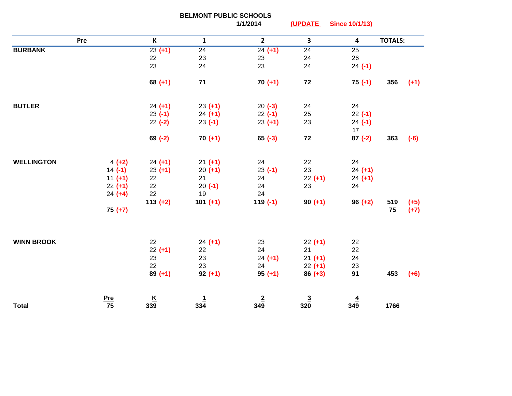|                   | <b>BELMONT PUBLIC SCHOOLS</b> |                          |                 |                 |                 |                         |                |        |
|-------------------|-------------------------------|--------------------------|-----------------|-----------------|-----------------|-------------------------|----------------|--------|
|                   |                               |                          |                 | 1/1/2014        | (UPDATE         | <b>Since 10/1/13)</b>   |                |        |
|                   | Pre                           | $\mathsf{K}$             | $\mathbf{1}$    | $\mathbf{2}$    | $\mathbf{3}$    | $\overline{\mathbf{4}}$ | <b>TOTALS:</b> |        |
| <b>BURBANK</b>    |                               | $23 (+1)$                | $\overline{24}$ | $24 (+1)$       | $\overline{24}$ | 25                      |                |        |
|                   |                               | 22                       | 23              | 23              | 24              | 26                      |                |        |
|                   |                               | 23                       | 24              | 23              | 24              | $24 (-1)$               |                |        |
|                   |                               | $68 (+1)$                | 71              | $70 (+1)$       | 72              | $75(-1)$                | 356            | $(+1)$ |
| <b>BUTLER</b>     |                               | $24 (+1)$                | $23 (+1)$       | $20(-3)$        | 24              | 24                      |                |        |
|                   |                               | $23(-1)$                 | $24 (+1)$       | $22 (-1)$       | 25              | $22 (-1)$               |                |        |
|                   |                               | $22 (-2)$                | $23(-1)$        | $23 (+1)$       | 23              | $24 (-1)$               |                |        |
|                   |                               |                          |                 |                 |                 | 17                      |                |        |
|                   |                               | $69 (-2)$                | $70 (+1)$       | $65 (-3)$       | 72              | $87 (-2)$               | 363            | $(-6)$ |
|                   |                               |                          |                 |                 |                 |                         |                |        |
| <b>WELLINGTON</b> | $4 (+2)$                      | $24 (+1)$                | $21 (+1)$       | 24              | 22              | 24                      |                |        |
|                   | $14 (-1)$                     | $23 (+1)$                | $20 (+1)$       | $23 (-1)$       | 23              | $24 (+1)$               |                |        |
|                   | $11 (+1)$                     | 22                       | 21              | 24              | $22 (+1)$       | $24 (+1)$               |                |        |
|                   | $22 (+1)$                     | 22                       | $20(-1)$        | 24              | 23              | 24                      |                |        |
|                   | $24 (+4)$                     | 22                       | 19              | 24              |                 |                         |                |        |
|                   |                               | $113 (+2)$               | $101 (+1)$      | $119(-1)$       | $90 (+1)$       | $96 (+2)$               | 519            | $(+5)$ |
|                   | $75 (+7)$                     |                          |                 |                 |                 |                         | 75             | $(+7)$ |
|                   |                               |                          |                 |                 |                 |                         |                |        |
| <b>WINN BROOK</b> |                               | 22                       | $24 (+1)$       | 23              | $22 (+1)$       | 22                      |                |        |
|                   |                               | $22 (+1)$                | 22              | 24              | 21              | 22                      |                |        |
|                   |                               | 23                       | 23              | $24 (+1)$       | $21 (+1)$       | 24                      |                |        |
|                   |                               | 22                       | 23              | 24              | $22 (+1)$       | 23                      |                |        |
|                   |                               | $89 (+1)$                | $92 (+1)$       | $95 (+1)$       | $86 (+3)$       | 91                      | 453            | $(+6)$ |
|                   | <u>Pre</u>                    | $\frac{\mathsf{K}}{339}$ | $\frac{1}{334}$ | $\frac{2}{349}$ | $\frac{3}{320}$ | $\overline{4}$          |                |        |
| <b>Total</b>      | 75                            |                          |                 |                 |                 | 349                     | 1766           |        |